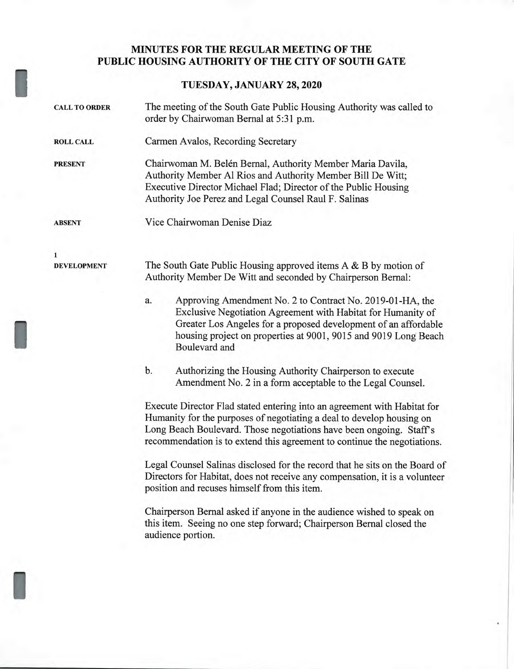## **MINUTES FOR THE REGULAR MEETING OF THE PUBLIC HOUSING AUTHORITY OF THE CITY OF SOUTH GATE**

## **TUESDAY, JANUARY 28, 2020**

| <b>CALL TO ORDER</b> | The meeting of the South Gate Public Housing Authority was called to<br>order by Chairwoman Bernal at 5:31 p.m.                                                                                                                                                                                                                                                                                                                                                    |
|----------------------|--------------------------------------------------------------------------------------------------------------------------------------------------------------------------------------------------------------------------------------------------------------------------------------------------------------------------------------------------------------------------------------------------------------------------------------------------------------------|
| <b>ROLL CALL</b>     | Carmen Avalos, Recording Secretary                                                                                                                                                                                                                                                                                                                                                                                                                                 |
| <b>PRESENT</b>       | Chairwoman M. Belén Bernal, Authority Member Maria Davila,<br>Authority Member Al Rios and Authority Member Bill De Witt;<br>Executive Director Michael Flad; Director of the Public Housing<br>Authority Joe Perez and Legal Counsel Raul F. Salinas                                                                                                                                                                                                              |
| <b>ABSENT</b>        | Vice Chairwoman Denise Diaz                                                                                                                                                                                                                                                                                                                                                                                                                                        |
| $\mathbf{1}$         |                                                                                                                                                                                                                                                                                                                                                                                                                                                                    |
| <b>DEVELOPMENT</b>   | The South Gate Public Housing approved items $A \& B$ by motion of<br>Authority Member De Witt and seconded by Chairperson Bernal:                                                                                                                                                                                                                                                                                                                                 |
|                      | Approving Amendment No. 2 to Contract No. 2019-01-HA, the<br>a.<br>Exclusive Negotiation Agreement with Habitat for Humanity of<br>Greater Los Angeles for a proposed development of an affordable<br>housing project on properties at 9001, 9015 and 9019 Long Beach<br>Boulevard and                                                                                                                                                                             |
|                      | b.<br>Authorizing the Housing Authority Chairperson to execute<br>Amendment No. 2 in a form acceptable to the Legal Counsel.                                                                                                                                                                                                                                                                                                                                       |
|                      | Execute Director Flad stated entering into an agreement with Habitat for<br>Humanity for the purposes of negotiating a deal to develop housing on<br>Long Beach Boulevard. Those negotiations have been ongoing. Staff's<br>recommendation is to extend this agreement to continue the negotiations.<br>Legal Counsel Salinas disclosed for the record that he sits on the Board of<br>Directors for Habitat, does not receive any compensation, it is a volunteer |
|                      | position and recuses himself from this item.<br>Chairperson Bernal asked if anyone in the audience wished to speak on<br>this item. Seeing no one step forward; Chairperson Bernal closed the                                                                                                                                                                                                                                                                      |
|                      | audience portion.                                                                                                                                                                                                                                                                                                                                                                                                                                                  |